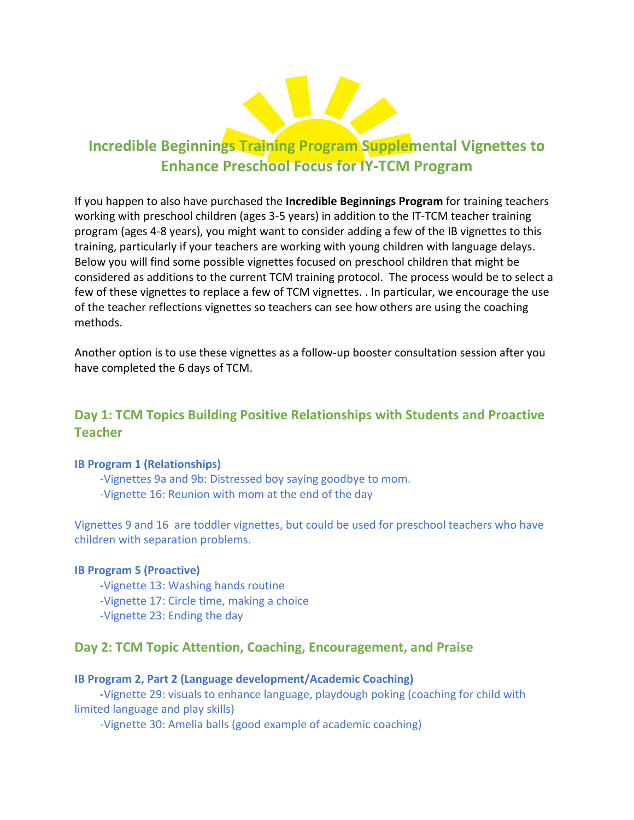

# **Incredible Beginnings Training Program Supplemental Vignettes to Enhance Preschool Focus for IY-TCM Program**

If you happen to also have purchased the **Incredible Beginnings Program** for training teachers working with preschool children (ages 3-5 years) in addition to the IT-TCM teacher training program (ages 4-8 years), you might want to consider adding a few of the IB vignettes to this training, particularly if your teachers are working with young children with language delays. Below you will find some possible vignettes focused on preschool children that might be considered as additions to the current TCM training protocol. The process would be to select a few of these vignettes to replace a few of TCM vignettes. . In particular, we encourage the use of the teacher reflections vignettes so teachers can see how others are using the coaching methods.

Another option is to use these vignettes as a follow-up booster consultation session after you have completed the 6 days of TCM.

# **Day 1: TCM Topics Building Positive Relationships with Students and Proactive Teacher**

### **IB Program 1 (Relationships)**

 -Vignettes 9a and 9b: Distressed boy saying goodbye to mom. -Vignette 16: Reunion with mom at the end of the day

Vignettes 9 and 16 are toddler vignettes, but could be used for preschool teachers who have children with separation problems.

#### **IB Program 5 (Proactive)**

 **-**Vignette 13: Washing hands routine -Vignette 17: Circle time, making a choice -Vignette 23: Ending the day

# **Day 2: TCM Topic Attention, Coaching, Encouragement, and Praise**

#### **IB Program 2, Part 2 (Language development/Academic Coaching)**

 **-**Vignette 29: visuals to enhance language, playdough poking (coaching for child with limited language and play skills)

-Vignette 30: Amelia balls (good example of academic coaching)